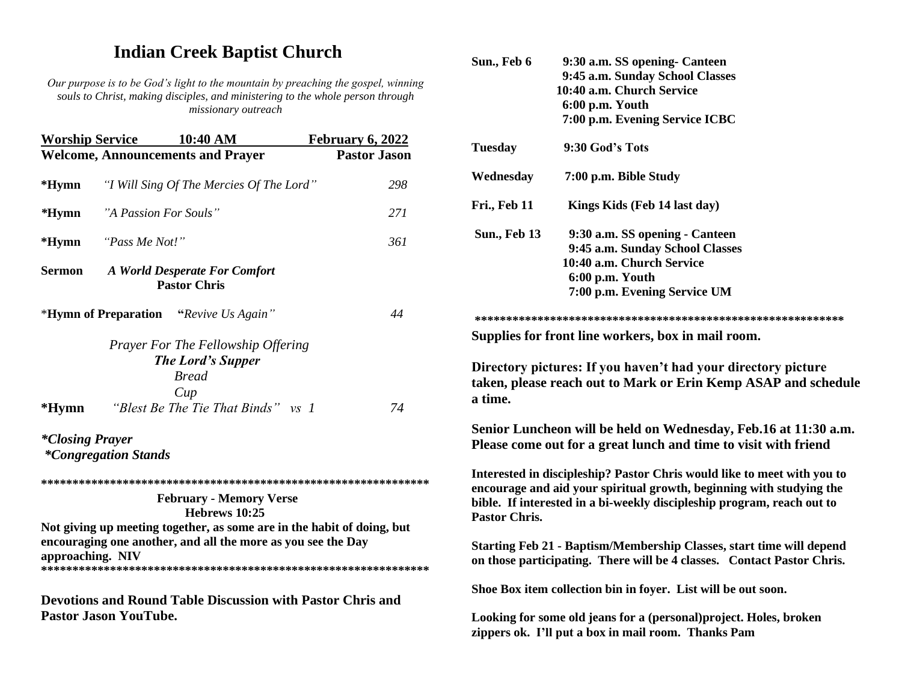## **Indian Creek Baptist Church**

*Our purpose is to be God's light to the mountain by preaching the gospel, winning souls to Christ, making disciples, and ministering to the whole person through missionary outreach*

| <b>Welcome, Announcements and Prayer</b><br>"I Will Sing Of The Mercies Of The Lord"  | <b>Pastor Jason</b>                                                                                                                    |
|---------------------------------------------------------------------------------------|----------------------------------------------------------------------------------------------------------------------------------------|
|                                                                                       |                                                                                                                                        |
|                                                                                       | 298                                                                                                                                    |
| "A Passion For Souls"                                                                 | 271                                                                                                                                    |
|                                                                                       | 361                                                                                                                                    |
| A World Desperate For Comfort<br><b>Pastor Chris</b>                                  |                                                                                                                                        |
| <b>*Hymn of Preparation</b> "Revive Us Again"                                         | 44                                                                                                                                     |
| <b>Prayer For The Fellowship Offering</b><br><b>The Lord's Supper</b><br><b>Bread</b> |                                                                                                                                        |
| "Blest Be The Tie That Binds" vs 1                                                    | 74                                                                                                                                     |
|                                                                                       |                                                                                                                                        |
|                                                                                       |                                                                                                                                        |
| <b>February - Memory Verse</b><br>Hebrews 10:25                                       |                                                                                                                                        |
|                                                                                       |                                                                                                                                        |
|                                                                                       | Not giving up meeting together, as some are in the habit of doing, but<br>encouraging one another, and all the more as you see the Day |

| Sun., Feb 6          | 9:30 a.m. SS opening- Canteen                                                                                                                                                                                             |
|----------------------|---------------------------------------------------------------------------------------------------------------------------------------------------------------------------------------------------------------------------|
|                      | 9:45 a.m. Sunday School Classes                                                                                                                                                                                           |
|                      | 10:40 a.m. Church Service                                                                                                                                                                                                 |
|                      | 6:00 p.m. Youth                                                                                                                                                                                                           |
|                      | 7:00 p.m. Evening Service ICBC                                                                                                                                                                                            |
| <b>Tuesday</b>       | 9:30 God's Tots                                                                                                                                                                                                           |
| Wednesday            | 7:00 p.m. Bible Study                                                                                                                                                                                                     |
| Fri., Feb 11         | Kings Kids (Feb 14 last day)                                                                                                                                                                                              |
| <b>Sun., Feb 13</b>  | 9:30 a.m. SS opening - Canteen                                                                                                                                                                                            |
|                      | 9:45 a.m. Sunday School Classes                                                                                                                                                                                           |
|                      | 10:40 a.m. Church Service                                                                                                                                                                                                 |
|                      | 6:00 p.m. Youth                                                                                                                                                                                                           |
|                      | 7:00 p.m. Evening Service UM                                                                                                                                                                                              |
|                      |                                                                                                                                                                                                                           |
|                      | Supplies for front line workers, box in mail room.                                                                                                                                                                        |
| a time.              | taken, please reach out to Mark or Erin Kemp ASAP and schedule                                                                                                                                                            |
|                      | Senior Luncheon will be held on Wednesday, Feb.16 at 11:30 a.m.<br>Please come out for a great lunch and time to visit with friend                                                                                        |
| <b>Pastor Chris.</b> | Interested in discipleship? Pastor Chris would like to meet with you to<br>encourage and aid your spiritual growth, beginning with studying the<br>bible. If interested in a bi-weekly discipleship program, reach out to |
|                      | Starting Feb 21 - Baptism/Membership Classes, start time will depend<br>on those participating. There will be 4 classes. Contact Pastor Chris.                                                                            |
|                      | Shoe Box item collection bin in foyer. List will be out soon.                                                                                                                                                             |
|                      | Looking for some old jeans for a (personal) project. Holes, broken<br>zippers ok. I'll put a box in mail room. Thanks Pam                                                                                                 |